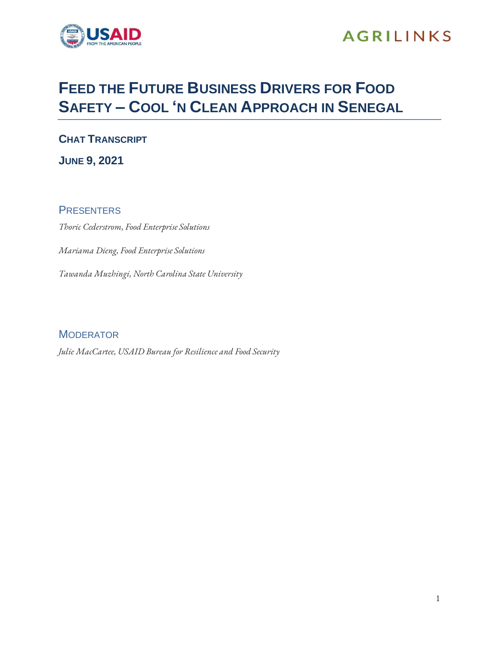

## **AGRILINKS**

## **FEED THE FUTURE BUSINESS DRIVERS FOR FOOD SAFETY – COOL 'N CLEAN APPROACH IN SENEGAL**

**CHAT TRANSCRIPT JUNE 9, 2021**

**PRESENTERS** *Thoric Cederstrom, Food Enterprise Solutions Mariama Dieng, Food Enterprise Solutions Tawanda Muzhingi, North Carolina State University*

**MODERATOR** 

*Julie MacCartee, USAID Bureau for Resilience and Food Security*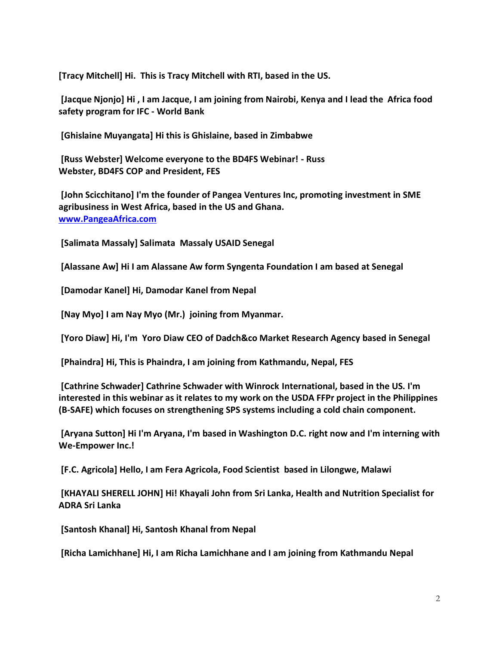**[Tracy Mitchell] Hi. This is Tracy Mitchell with RTI, based in the US.**

**[Jacque Njonjo] Hi , I am Jacque, I am joining from Nairobi, Kenya and I lead the Africa food safety program for IFC - World Bank**

**[Ghislaine Muyangata] Hi this is Ghislaine, based in Zimbabwe**

**[Russ Webster] Welcome everyone to the BD4FS Webinar! - Russ Webster, BD4FS COP and President, FES**

**[John Scicchitano] I'm the founder of Pangea Ventures Inc, promoting investment in SME agribusiness in West Africa, based in the US and Ghana. [www.PangeaAfrica.com](http://www.pangeaafrica.com/)**

**[Salimata Massaly] Salimata Massaly USAID Senegal**

**[Alassane Aw] Hi I am Alassane Aw form Syngenta Foundation I am based at Senegal**

**[Damodar Kanel] Hi, Damodar Kanel from Nepal**

**[Nay Myo] I am Nay Myo (Mr.) joining from Myanmar.**

**[Yoro Diaw] Hi, I'm Yoro Diaw CEO of Dadch&co Market Research Agency based in Senegal**

**[Phaindra] Hi, This is Phaindra, I am joining from Kathmandu, Nepal, FES**

**[Cathrine Schwader] Cathrine Schwader with Winrock International, based in the US. I'm interested in this webinar as it relates to my work on the USDA FFPr project in the Philippines (B-SAFE) which focuses on strengthening SPS systems including a cold chain component.**

**[Aryana Sutton] Hi I'm Aryana, I'm based in Washington D.C. right now and I'm interning with We-Empower Inc.!**

**[F.C. Agricola] Hello, I am Fera Agricola, Food Scientist based in Lilongwe, Malawi**

**[KHAYALI SHERELL JOHN] Hi! Khayali John from Sri Lanka, Health and Nutrition Specialist for ADRA Sri Lanka**

**[Santosh Khanal] Hi, Santosh Khanal from Nepal**

**[Richa Lamichhane] Hi, I am Richa Lamichhane and I am joining from Kathmandu Nepal**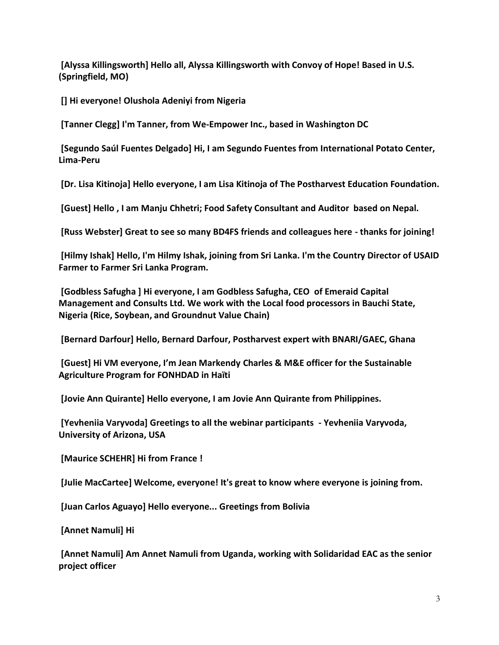**[Alyssa Killingsworth] Hello all, Alyssa Killingsworth with Convoy of Hope! Based in U.S. (Springfield, MO)**

**[] Hi everyone! Olushola Adeniyi from Nigeria**

**[Tanner Clegg] I'm Tanner, from We-Empower Inc., based in Washington DC**

**[Segundo Saúl Fuentes Delgado] Hi, I am Segundo Fuentes from International Potato Center, Lima-Peru**

**[Dr. Lisa Kitinoja] Hello everyone, I am Lisa Kitinoja of The Postharvest Education Foundation.**

**[Guest] Hello , I am Manju Chhetri; Food Safety Consultant and Auditor based on Nepal.**

**[Russ Webster] Great to see so many BD4FS friends and colleagues here - thanks for joining!**

**[Hilmy Ishak] Hello, I'm Hilmy Ishak, joining from Sri Lanka. I'm the Country Director of USAID Farmer to Farmer Sri Lanka Program.**

**[Godbless Safugha ] Hi everyone, I am Godbless Safugha, CEO of Emeraid Capital Management and Consults Ltd. We work with the Local food processors in Bauchi State, Nigeria (Rice, Soybean, and Groundnut Value Chain)**

**[Bernard Darfour] Hello, Bernard Darfour, Postharvest expert with BNARI/GAEC, Ghana**

**[Guest] Hi VM everyone, I'm Jean Markendy Charles & M&E officer for the Sustainable Agriculture Program for FONHDAD in Haïti**

**[Jovie Ann Quirante] Hello everyone, I am Jovie Ann Quirante from Philippines.**

**[Yevheniia Varyvoda] Greetings to all the webinar participants - Yevheniia Varyvoda, University of Arizona, USA**

**[Maurice SCHEHR] Hi from France !**

**[Julie MacCartee] Welcome, everyone! It's great to know where everyone is joining from.**

**[Juan Carlos Aguayo] Hello everyone... Greetings from Bolivia**

**[Annet Namuli] Hi**

**[Annet Namuli] Am Annet Namuli from Uganda, working with Solidaridad EAC as the senior project officer**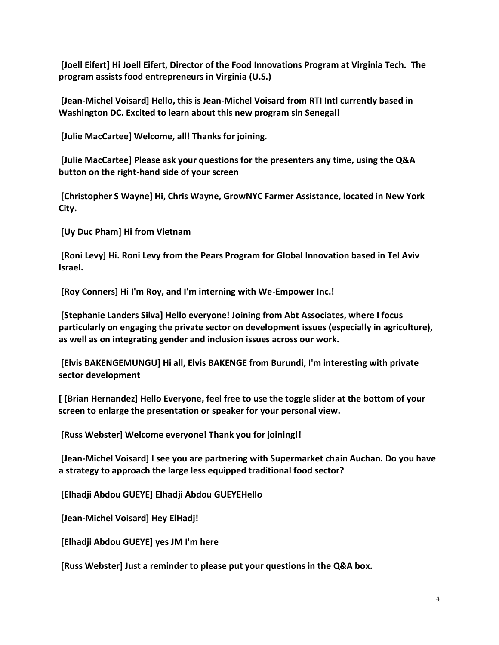**[Joell Eifert] Hi Joell Eifert, Director of the Food Innovations Program at Virginia Tech. The program assists food entrepreneurs in Virginia (U.S.)**

**[Jean-Michel Voisard] Hello, this is Jean-Michel Voisard from RTI Intl currently based in Washington DC. Excited to learn about this new program sin Senegal!**

**[Julie MacCartee] Welcome, all! Thanks for joining.**

**[Julie MacCartee] Please ask your questions for the presenters any time, using the Q&A button on the right-hand side of your screen**

**[Christopher S Wayne] Hi, Chris Wayne, GrowNYC Farmer Assistance, located in New York City.**

**[Uy Duc Pham] Hi from Vietnam**

**[Roni Levy] Hi. Roni Levy from the Pears Program for Global Innovation based in Tel Aviv Israel.**

**[Roy Conners] Hi I'm Roy, and I'm interning with We-Empower Inc.!**

**[Stephanie Landers Silva] Hello everyone! Joining from Abt Associates, where I focus particularly on engaging the private sector on development issues (especially in agriculture), as well as on integrating gender and inclusion issues across our work.**

**[Elvis BAKENGEMUNGU] Hi all, Elvis BAKENGE from Burundi, I'm interesting with private sector development**

**[ [Brian Hernandez] Hello Everyone, feel free to use the toggle slider at the bottom of your screen to enlarge the presentation or speaker for your personal view.**

**[Russ Webster] Welcome everyone! Thank you for joining!!**

**[Jean-Michel Voisard] I see you are partnering with Supermarket chain Auchan. Do you have a strategy to approach the large less equipped traditional food sector?**

**[Elhadji Abdou GUEYE] Elhadji Abdou GUEYEHello**

**[Jean-Michel Voisard] Hey ElHadj!**

**[Elhadji Abdou GUEYE] yes JM I'm here**

**[Russ Webster] Just a reminder to please put your questions in the Q&A box.**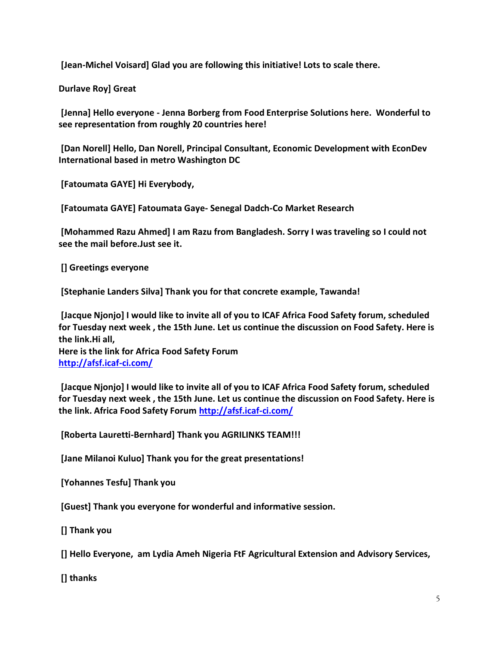**[Jean-Michel Voisard] Glad you are following this initiative! Lots to scale there.**

**Durlave Roy] Great**

**[Jenna] Hello everyone - Jenna Borberg from Food Enterprise Solutions here. Wonderful to see representation from roughly 20 countries here!**

**[Dan Norell] Hello, Dan Norell, Principal Consultant, Economic Development with EconDev International based in metro Washington DC**

**[Fatoumata GAYE] Hi Everybody,**

**[Fatoumata GAYE] Fatoumata Gaye- Senegal Dadch-Co Market Research**

**[Mohammed Razu Ahmed] I am Razu from Bangladesh. Sorry I was traveling so I could not see the mail before.Just see it.**

**[] Greetings everyone**

**[Stephanie Landers Silva] Thank you for that concrete example, Tawanda!**

**[Jacque Njonjo] I would like to invite all of you to ICAF Africa Food Safety forum, scheduled for Tuesday next week , the 15th June. Let us continue the discussion on Food Safety. Here is the link.Hi all, Here is the link for Africa Food Safety Forum**

**<http://afsf.icaf-ci.com/>**

**[Jacque Njonjo] I would like to invite all of you to ICAF Africa Food Safety forum, scheduled for Tuesday next week , the 15th June. Let us continue the discussion on Food Safety. Here is the link. Africa Food Safety Forum<http://afsf.icaf-ci.com/>**

**[Roberta Lauretti-Bernhard] Thank you AGRILINKS TEAM!!!**

**[Jane Milanoi Kuluo] Thank you for the great presentations!**

**[Yohannes Tesfu] Thank you**

**[Guest] Thank you everyone for wonderful and informative session.**

**[] Thank you**

**[] Hello Everyone, am Lydia Ameh Nigeria FtF Agricultural Extension and Advisory Services,**

**[] thanks**